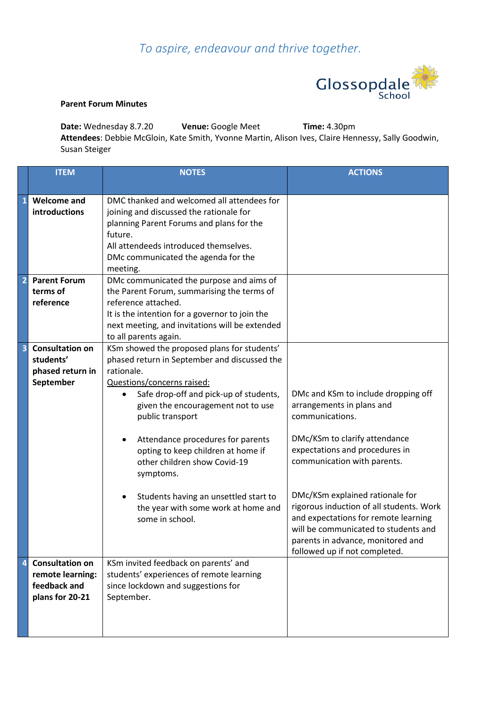## *To aspire, endeavour and thrive together.*



## **Parent Forum Minutes**

**Date:** Wednesday 8.7.20 **Venue:** Google Meet **Time:** 4.30pm **Attendees**: Debbie McGloin, Kate Smith, Yvonne Martin, Alison Ives, Claire Hennessy, Sally Goodwin, Susan Steiger

|                | <b>ITEM</b>                                                                   | <b>NOTES</b>                                                                                                                                                                                                                                                                                                                                                                                                                                                                             | <b>ACTIONS</b>                                                                                                                                                                                                                                                                                                                                                                                                             |
|----------------|-------------------------------------------------------------------------------|------------------------------------------------------------------------------------------------------------------------------------------------------------------------------------------------------------------------------------------------------------------------------------------------------------------------------------------------------------------------------------------------------------------------------------------------------------------------------------------|----------------------------------------------------------------------------------------------------------------------------------------------------------------------------------------------------------------------------------------------------------------------------------------------------------------------------------------------------------------------------------------------------------------------------|
| $\mathbf{1}$   | <b>Welcome and</b><br>introductions                                           | DMC thanked and welcomed all attendees for<br>joining and discussed the rationale for<br>planning Parent Forums and plans for the<br>future.<br>All attendeeds introduced themselves.<br>DMc communicated the agenda for the<br>meeting.                                                                                                                                                                                                                                                 |                                                                                                                                                                                                                                                                                                                                                                                                                            |
| $\overline{2}$ | <b>Parent Forum</b><br>terms of<br>reference                                  | DMc communicated the purpose and aims of<br>the Parent Forum, summarising the terms of<br>reference attached.<br>It is the intention for a governor to join the<br>next meeting, and invitations will be extended<br>to all parents again.                                                                                                                                                                                                                                               |                                                                                                                                                                                                                                                                                                                                                                                                                            |
|                | <b>Consultation on</b><br>students'<br>phased return in<br>September          | KSm showed the proposed plans for students'<br>phased return in September and discussed the<br>rationale.<br>Questions/concerns raised:<br>Safe drop-off and pick-up of students,<br>given the encouragement not to use<br>public transport<br>Attendance procedures for parents<br>٠<br>opting to keep children at home if<br>other children show Covid-19<br>symptoms.<br>Students having an unsettled start to<br>$\bullet$<br>the year with some work at home and<br>some in school. | DMc and KSm to include dropping off<br>arrangements in plans and<br>communications.<br>DMc/KSm to clarify attendance<br>expectations and procedures in<br>communication with parents.<br>DMc/KSm explained rationale for<br>rigorous induction of all students. Work<br>and expectations for remote learning<br>will be communicated to students and<br>parents in advance, monitored and<br>followed up if not completed. |
| 4              | <b>Consultation on</b><br>remote learning:<br>feedback and<br>plans for 20-21 | KSm invited feedback on parents' and<br>students' experiences of remote learning<br>since lockdown and suggestions for<br>September.                                                                                                                                                                                                                                                                                                                                                     |                                                                                                                                                                                                                                                                                                                                                                                                                            |